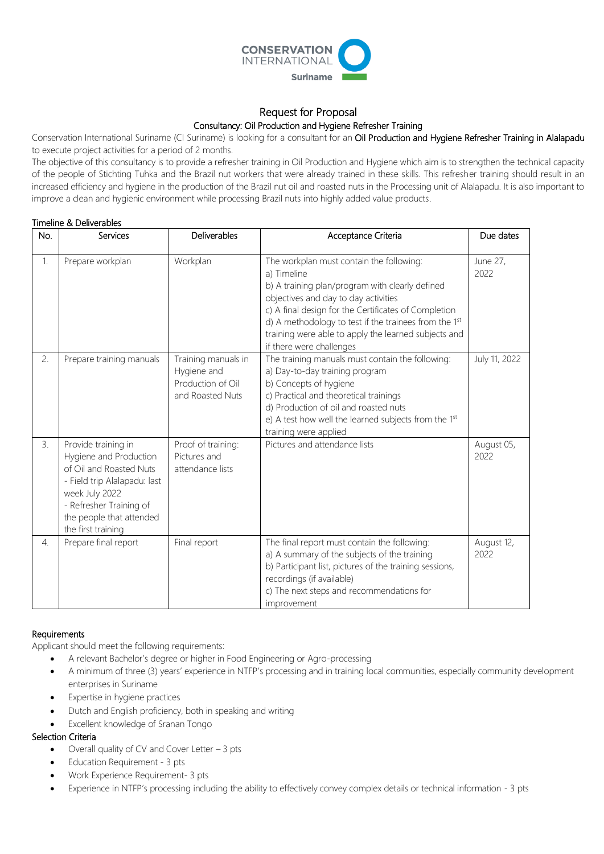

# Request for Proposal

## Consultancy: Oil Production and Hygiene Refresher Training

Conservation International Suriname (CI Suriname) is looking for a consultant for an Oil Production and Hygiene Refresher Training in Alalapadu to execute project activities for a period of 2 months.

The objective of this consultancy is to provide a refresher training in Oil Production and Hygiene which aim is to strengthen the technical capacity of the people of Stichting Tuhka and the Brazil nut workers that were already trained in these skills. This refresher training should result in an increased efficiency and hygiene in the production of the Brazil nut oil and roasted nuts in the Processing unit of Alalapadu. It is also important to improve a clean and hygienic environment while processing Brazil nuts into highly added value products.

### Timeline & Deliverables

| No. | Services                                                                                                                                                                                                | Deliverables                                                                | Acceptance Criteria                                                                                                                                                                                                                                                                                                                                     | Due dates          |
|-----|---------------------------------------------------------------------------------------------------------------------------------------------------------------------------------------------------------|-----------------------------------------------------------------------------|---------------------------------------------------------------------------------------------------------------------------------------------------------------------------------------------------------------------------------------------------------------------------------------------------------------------------------------------------------|--------------------|
| 1.  | Prepare workplan                                                                                                                                                                                        | Workplan                                                                    | The workplan must contain the following:<br>a) Timeline<br>b) A training plan/program with clearly defined<br>objectives and day to day activities<br>c) A final design for the Certificates of Completion<br>d) A methodology to test if the trainees from the 1st<br>training were able to apply the learned subjects and<br>if there were challenges | June 27,<br>2022   |
| 2.  | Prepare training manuals                                                                                                                                                                                | Training manuals in<br>Hygiene and<br>Production of Oil<br>and Roasted Nuts | The training manuals must contain the following:<br>a) Day-to-day training program<br>b) Concepts of hygiene<br>c) Practical and theoretical trainings<br>d) Production of oil and roasted nuts<br>e) A test how well the learned subjects from the 1st<br>training were applied                                                                        | July 11, 2022      |
| 3.  | Provide training in<br>Hygiene and Production<br>of Oil and Roasted Nuts<br>- Field trip Alalapadu: last<br>week July 2022<br>- Refresher Training of<br>the people that attended<br>the first training | Proof of training:<br>Pictures and<br>attendance lists                      | Pictures and attendance lists                                                                                                                                                                                                                                                                                                                           | August 05,<br>2022 |
| 4.  | Prepare final report                                                                                                                                                                                    | Final report                                                                | The final report must contain the following:<br>a) A summary of the subjects of the training<br>b) Participant list, pictures of the training sessions,<br>recordings (if available)<br>c) The next steps and recommendations for<br>improvement                                                                                                        | August 12,<br>2022 |

#### **Requirements**

Applicant should meet the following requirements:

- A relevant Bachelor's degree or higher in Food Engineering or Agro-processing
- A minimum of three (3) years' experience in NTFP's processing and in training local communities, especially community development enterprises in Suriname
- Expertise in hygiene practices
- Dutch and English proficiency, both in speaking and writing
- Excellent knowledge of Sranan Tongo

# Selection Criteria

- Overall quality of CV and Cover Letter 3 pts
- Education Requirement 3 pts
- Work Experience Requirement- 3 pts
- Experience in NTFP's processing including the ability to effectively convey complex details or technical information 3 pts